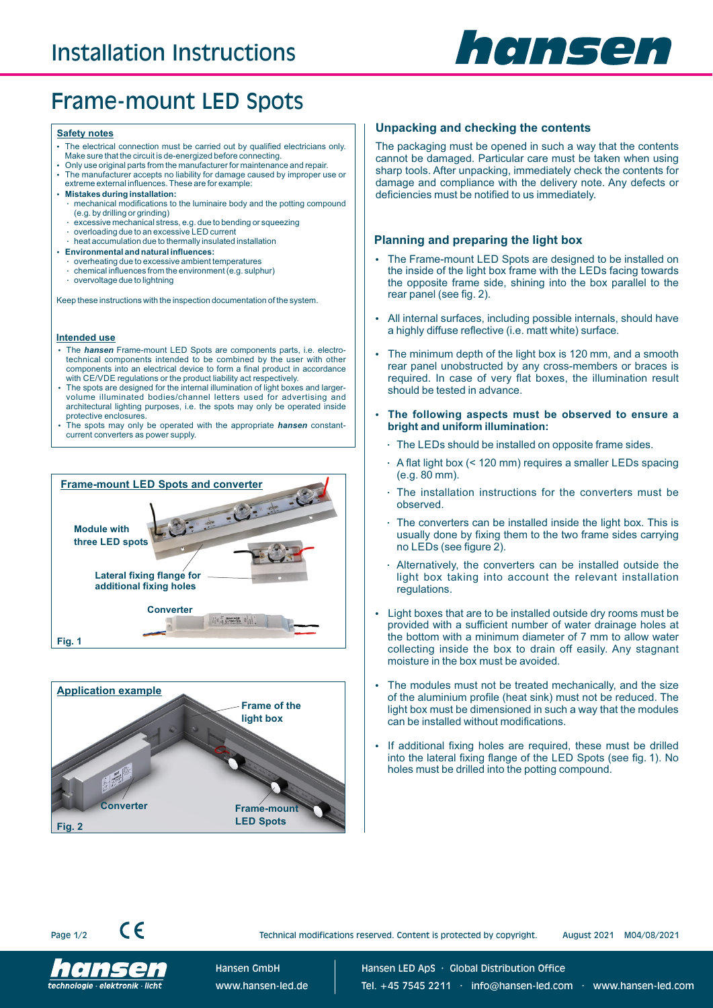

# Frame-mount LED Spots

#### **Safety notes**

- The electrical connection must be carried out by qualified electricians only.
- Make sure that the circuit is de-energized before connecting. Ÿ Only use original parts from the manufacturer for maintenance and repair. The manufacturer accepts no liability for damage caused by improper use or
- extreme external influences. These are for example: **• Mistakes during installation:**
- 
- mechanical modifications to the luminaire body and the potting compound (e.g. by drilling or grinding) excessive mechanical stress, e.g. due to bending or squeezing
- overloading due to an excessive LED current
- heat accumulation due to thermally insulated installation
- **Environmental and natural influences:**
- overheating due to excessive ambient temperatures
- chemical influences from the environment (e.g. sulphur)
- overvoltage due to lightning

Keep these instructions with the inspection documentation of the system.

#### **Intended use**

- The *hansen* Frame-mount LED Spots are components parts, i.e. electrotechnical components intended to be combined by the user with other components into an electrical device to form a final product in accordance
- with CE/VDE regulations or the product liability act respectively.<br>The spots are designed for the internal illumination of light boxes and largervolume illuminated bodies/channel letters used for advertising and architectural lighting purposes, i.e. the spots may only be operated inside protective enclosures.
- The spots may only be operated with the appropriate *hansen* constantcurrent converters as power supply.





#### **Unpacking and checking the contents**

The packaging must be opened in such a way that the contents cannot be damaged. Particular care must be taken when using sharp tools. After unpacking, immediately check the contents for damage and compliance with the delivery note. Any defects or deficiencies must be notified to us immediately.

#### **Planning and preparing the light box**

- The Frame-mount LED Spots are designed to be installed on the inside of the light box frame with the LEDs facing towards the opposite frame side, shining into the box parallel to the rear panel (see fig. 2).
- All internal surfaces, including possible internals, should have a highly diffuse reflective (i.e. matt white) surface.
- The minimum depth of the light box is 120 mm, and a smooth rear panel unobstructed by any cross-members or braces is required. In case of very flat boxes, the illumination result should be tested in advance.
- Ÿ **The following aspects must be observed to ensure a bright and uniform illumination:**
	- The LEDs should be installed on opposite frame sides.
	- A flat light box (< 120 mm) requires a smaller LEDs spacing (e.g. 80 mm).
	- The installation instructions for the converters must be observed.
	- The converters can be installed inside the light box. This is usually done by fixing them to the two frame sides carrying no LEDs (see figure 2).
	- Alternatively, the converters can be installed outside the light box taking into account the relevant installation regulations.
- Light boxes that are to be installed outside dry rooms must be provided with a sufficient number of water drainage holes at the bottom with a minimum diameter of 7 mm to allow water collecting inside the box to drain off easily. Any stagnant moisture in the box must be avoided.
- The modules must not be treated mechanically, and the size of the aluminium profile (heat sink) must not be reduced. The light box must be dimensioned in such a way that the modules can be installed without modifications.
- If additional fixing holes are required, these must be drilled into the lateral fixing flange of the LED Spots (see fig. 1). No holes must be drilled into the potting compound.





 $\epsilon$ 

Technical modifications reserved. Content is protected by copyright. August 2021 M04/08/2021

Hansen GmbH www.hansen-led.de Hansen LED ApS · Global Distribution Office Tel. +45 7545 2211 · info@hansen-led.com · www.hansen-led.com